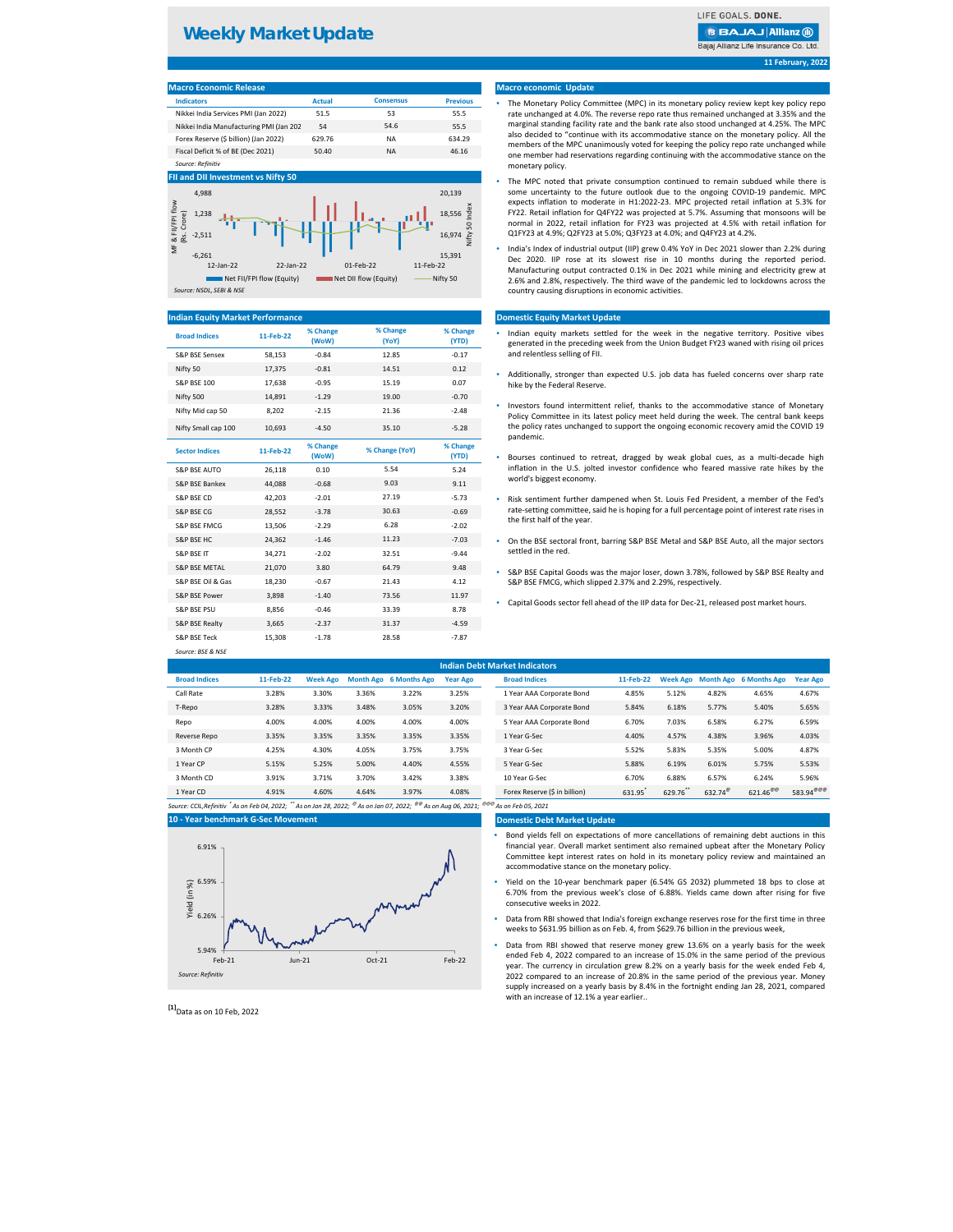| THE LEADER THE PLASH                    |               |                  |                 |
|-----------------------------------------|---------------|------------------|-----------------|
| <b>Indicators</b>                       | <b>Actual</b> | <b>Consensus</b> | <b>Previous</b> |
| Nikkei India Services PMI (Jan 2022)    | 51.5          | 53               | 55.5            |
| Nikkei India Manufacturing PMI (Jan 202 | 54            | 54.6             | 55.5            |
| Forex Reserve (\$ billion) (Jan 2022)   | 629.76        | <b>NA</b>        | 634.29          |
| Fiscal Deficit % of BE (Dec 2021)       | 50.40         | ΝA               | 46.16           |
| Source: Refinitiv                       |               |                  |                 |

| <b>Broad Indices</b>      | 11-Feb-22 | % Change<br>(WoW) | % Change<br>(YoY) | % Change<br>(YTD) | Indian equity markets settled for the week in the negative territory. Posit<br>generated in the preceding week from the Union Budget FY23 waned with rising     |
|---------------------------|-----------|-------------------|-------------------|-------------------|-----------------------------------------------------------------------------------------------------------------------------------------------------------------|
| <b>S&amp;P BSE Sensex</b> | 58,153    | $-0.84$           | 12.85             | $-0.17$           | and relentless selling of FII.                                                                                                                                  |
| Nifty 50                  | 17,375    | $-0.81$           | 14.51             | 0.12              | Additionally, stronger than expected U.S. job data has fueled concerns over so                                                                                  |
| <b>S&amp;P BSE 100</b>    | 17,638    | $-0.95$           | 15.19             | 0.07              | hike by the Federal Reserve.                                                                                                                                    |
| Nifty 500                 | 14,891    | $-1.29$           | 19.00             | $-0.70$           |                                                                                                                                                                 |
| Nifty Mid cap 50          | 8,202     | $-2.15$           | 21.36             | $-2.48$           | Investors found intermittent relief, thanks to the accommodative stance of I<br>Policy Committee in its latest policy meet held during the week. The central ba |
| Nifty Small cap 100       | 10,693    | $-4.50$           | 35.10             | $-5.28$           | the policy rates unchanged to support the ongoing economic recovery amid the<br>pandemic.                                                                       |
| <b>Sector Indices</b>     | 11-Feb-22 | % Change<br>(WoW) | % Change (YoY)    | % Change<br>(YTD) | Bourses continued to retreat, dragged by weak global cues, as a multi-dec                                                                                       |
| <b>S&amp;P BSE AUTO</b>   | 26,118    | 0.10              | 5.54              | 5.24              | inflation in the U.S. jolted investor confidence who feared massive rate hike                                                                                   |
| S&P BSE Bankex            | 44,088    | $-0.68$           | 9.03              | 9.11              | world's biggest economy.                                                                                                                                        |
| S&P BSE CD                | 42,203    | $-2.01$           | 27.19             | $-5.73$           | Risk sentiment further dampened when St. Louis Fed President, a member of                                                                                       |
| <b>S&amp;P BSE CG</b>     | 28,552    | $-3.78$           | 30.63             | $-0.69$           | rate-setting committee, said he is hoping for a full percentage point of interest rat                                                                           |
| S&P BSE FMCG              | 13,506    | $-2.29$           | 6.28              | $-2.02$           | the first half of the year.                                                                                                                                     |
| S&P BSE HC                | 24,362    | $-1.46$           | 11.23             | $-7.03$           | On the BSE sectoral front, barring S&P BSE Metal and S&P BSE Auto, all the major                                                                                |
| <b>S&amp;P BSE IT</b>     | 34,271    | $-2.02$           | 32.51             | $-9.44$           | settled in the red.                                                                                                                                             |
| <b>S&amp;P BSE METAL</b>  | 21,070    | 3.80              | 64.79             | 9.48              | S&P BSE Capital Goods was the major loser, down 3.78%, followed by S&P BSE R                                                                                    |
| S&P BSE Oil & Gas         | 18,230    | $-0.67$           | 21.43             | 4.12              | S&P BSE FMCG, which slipped 2.37% and 2.29%, respectively.                                                                                                      |
| S&P BSE Power             | 3,898     | $-1.40$           | 73.56             | 11.97             | Capital Goods sector fell ahead of the IIP data for Dec-21, released post market ho<br>۰                                                                        |
| <b>S&amp;P BSE PSU</b>    | 8,856     | $-0.46$           | 33.39             | 8.78              |                                                                                                                                                                 |
| S&P BSE Realty            | 3,665     | $-2.37$           | 31.37             | $-4.59$           |                                                                                                                                                                 |
| <b>S&amp;P BSE Teck</b>   | 15,308    | $-1.78$           | 28.58             | $-7.87$           |                                                                                                                                                                 |
| Source: BSE & NSE         |           |                   |                   |                   |                                                                                                                                                                 |

| <b>Indian Debt Market Indicators</b> |           |                 |       |                        |                 |                           |           |       |       |                                 |                 |
|--------------------------------------|-----------|-----------------|-------|------------------------|-----------------|---------------------------|-----------|-------|-------|---------------------------------|-----------------|
| <b>Broad Indices</b>                 | 11-Feb-22 | <b>Week Ago</b> |       | Month Ago 6 Months Ago | <b>Year Ago</b> | <b>Broad Indices</b>      | 11-Feb-22 |       |       | Week Ago Month Ago 6 Months Ago | <b>Year Ago</b> |
| Call Rate                            | 3.28%     | 3.30%           | 3.36% | 3.22%                  | 3.25%           | 1 Year AAA Corporate Bond | 4.85%     | 5.12% | 4.82% | 4.65%                           | 4.67%           |
| T-Repo                               | 3.28%     | 3.33%           | 3.48% | 3.05%                  | 3.20%           | 3 Year AAA Corporate Bond | 5.84%     | 6.18% | 5.77% | 5.40%                           | 5.65%           |
| Repo                                 | 4.00%     | 4.00%           | 4.00% | 4.00%                  | 4.00%           | 5 Year AAA Corporate Bond | 6.70%     | 7.03% | 6.58% | 6.27%                           | 6.59%           |
| Reverse Repo                         | 3.35%     | 3.35%           | 3.35% | 3.35%                  | 3.35%           | 1 Year G-Sec              | 4.40%     | 4.57% | 4.38% | 3.96%                           | 4.03%           |
| 3 Month CP                           | 4.25%     | 4.30%           | 4.05% | 3.75%                  | 3.75%           | 3 Year G-Sec              | 5.52%     | 5.83% | 5.35% | 5.00%                           | 4.87%           |
| 1 Year CP                            | 5.15%     | 5.25%           | 5.00% | 4.40%                  | 4.55%           | 5 Year G-Sec              | 5.88%     | 6.19% | 6.01% | 5.75%                           | 5.53%           |

### **Domestic Debt Market Update**

**[1]**Data as on 10 Feb, 2022

**11 February, 2022**

### **Macro economic Update**

### **Domestic Equity Market Update**

### **Indian Equity Market Performance**

### **FII and DII Investment vs Nifty 50**

| <b>Macro Economic Release</b> |  |
|-------------------------------|--|
|                               |  |
|                               |  |

- Indian equity markets settled for the week in the negative territory. Positive vibes generated in the preceding week from the Union Budget FY23 waned with rising oil prices and relentless selling of FII.
- Additionally, stronger than expected U.S. job data has fueled concerns over sharp rate hike by the Federal Reserve.
- Investors found intermittent relief, thanks to the accommodative stance of Monetary Policy Committee in its latest policy meet held during the week. The central bank keeps the policy rates unchanged to support the ongoing economic recovery amid the COVID 19 pandemic.
- Bourses continued to retreat, dragged by weak global cues, as a multi-decade high inflation in the U.S. jolted investor confidence who feared massive rate hikes by the world's biggest economy.
- Risk sentiment further dampened when St. Louis Fed President, a member of the Fed's rate-setting committee, said he is hoping for a full percentage point of interest rate rises in the first half of the year.
- On the BSE sectoral front, barring S&P BSE Metal and S&P BSE Auto, all the major sectors settled in the red.
- S&P BSE Capital Goods was the major loser, down 3.78%, followed by S&P BSE Realty and S&P BSE FMCG, which slipped 2.37% and 2.29%, respectively.
- Capital Goods sector fell ahead of the IIP data for Dec-21, released post market hours.

# **Weekly Market Update**

LIFE GOALS. DONE.

## **BBAJAJ Allianz (ii)** Bajaj Allianz Life Insurance Co. Ltd





- The Monetary Policy Committee (MPC) in its monetary policy review kept key policy repo rate unchanged at 4.0%. The reverse repo rate thus remained unchanged at 3.35% and the marginal standing facility rate and the bank rate also stood unchanged at 4.25%. The MPC also decided to "continue with its accommodative stance on the monetary policy. All the members of the MPC unanimously voted for keeping the policy repo rate unchanged while one member had reservations regarding continuing with the accommodative stance on the monetary policy.
- The MPC noted that private consumption continued to remain subdued while there is some uncertainty to the future outlook due to the ongoing COVID-19 pandemic. MPC expects inflation to moderate in H1:2022-23. MPC projected retail inflation at 5.3% for FY22. Retail inflation for Q4FY22 was projected at 5.7%. Assuming that monsoons will be normal in 2022, retail inflation for FY23 was projected at 4.5% with retail inflation for Q1FY23 at 4.9%; Q2FY23 at 5.0%; Q3FY23 at 4.0%; and Q4FY23 at 4.2%.
- India's Index of industrial output (IIP) grew 0.4% YoY in Dec 2021 slower than 2.2% during Dec 2020. IIP rose at its slowest rise in 10 months during the reported period. Manufacturing output contracted 0.1% in Dec 2021 while mining and electricity grew at 2.6% and 2.8%, respectively. The third wave of the pandemic led to lockdowns across the country causing disruptions in economic activities.

- Bond yields fell on expectations of more cancellations of remaining debt auctions in this financial year. Overall market sentiment also remained upbeat after the Monetary Policy Committee kept interest rates on hold in its monetary policy review and maintained an accommodative stance on the monetary policy.
- Yield on the 10-year benchmark paper (6.54% GS 2032) plummeted 18 bps to close at 6.70% from the previous week's close of 6.88%. Yields came down after rising for five consecutive weeks in 2022.
- Data from RBI showed that India's foreign exchange reserves rose for the first time in three weeks to \$631.95 billion as on Feb. 4, from \$629.76 billion in the previous week,
- Data from RBI showed that reserve money grew 13.6% on a yearly basis for the week ended Feb 4, 2022 compared to an increase of 15.0% in the same period of the previous year. The currency in circulation grew 8.2% on a yearly basis for the week ended Feb 4, 2022 compared to an increase of 20.8% in the same period of the previous year. Money supply increased on a yearly basis by 8.4% in the fortnight ending Jan 28, 2021, compared with an increase of 12.1% a year earlier..